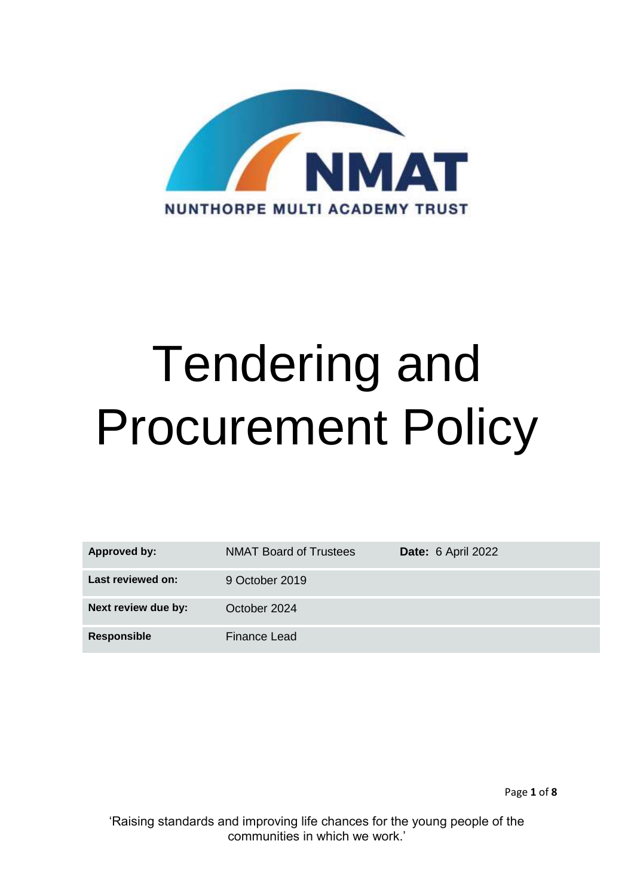

# Tendering and Procurement Policy

| <b>Approved by:</b> | <b>NMAT Board of Trustees</b> | <b>Date: 6 April 2022</b> |
|---------------------|-------------------------------|---------------------------|
| Last reviewed on:   | 9 October 2019                |                           |
| Next review due by: | October 2024                  |                           |
| <b>Responsible</b>  | Finance Lead                  |                           |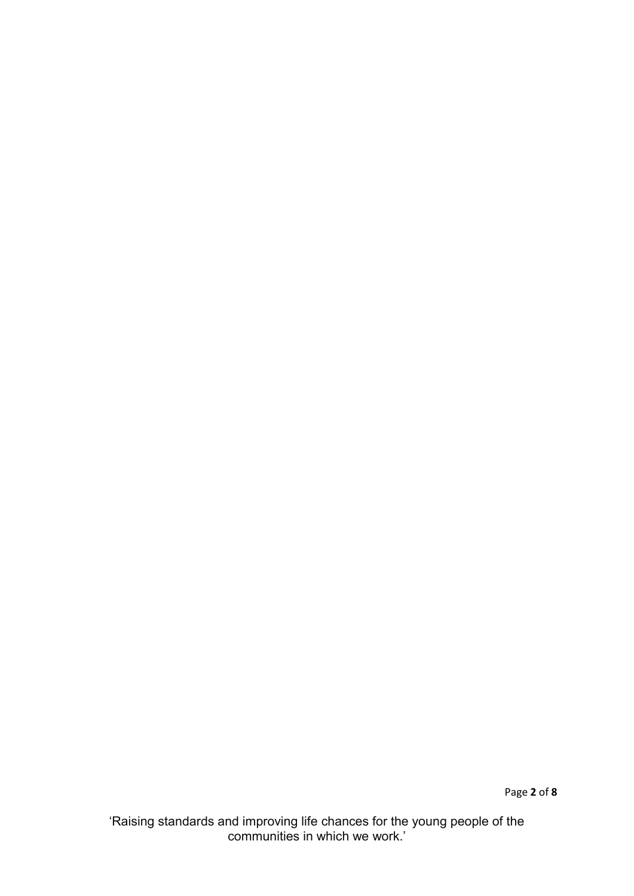Page **2** of **8**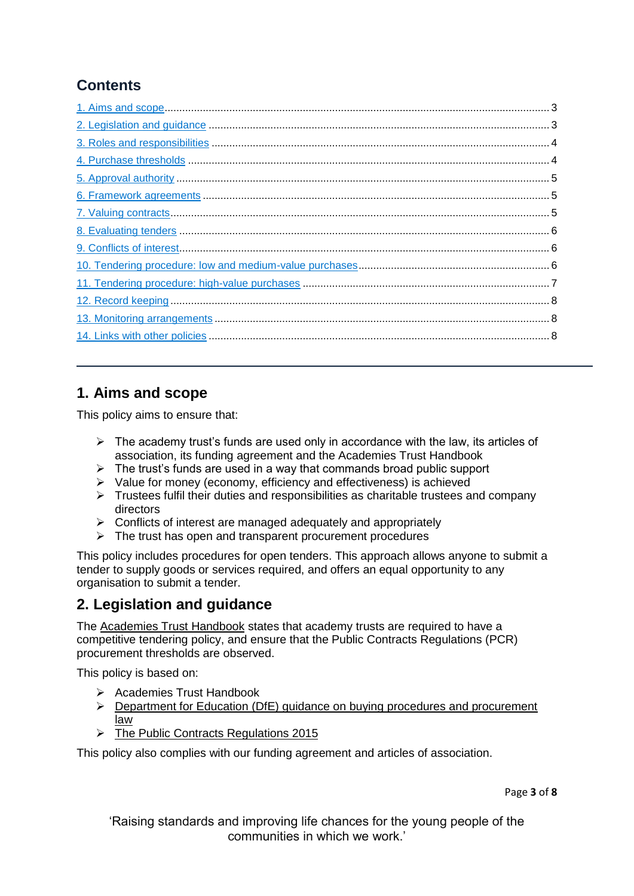# **Contents**

# <span id="page-2-0"></span>**1. Aims and scope**

This policy aims to ensure that:

- $\triangleright$  The academy trust's funds are used only in accordance with the law, its articles of association, its funding agreement and the Academies Trust Handbook
- $\triangleright$  The trust's funds are used in a way that commands broad public support
- $\triangleright$  Value for money (economy, efficiency and effectiveness) is achieved
- Trustees fulfil their duties and responsibilities as charitable trustees and company directors
- $\triangleright$  Conflicts of interest are managed adequately and appropriately
- $\triangleright$  The trust has open and transparent procurement procedures

This policy includes procedures for open tenders. This approach allows anyone to submit a tender to supply goods or services required, and offers an equal opportunity to any organisation to submit a tender.

# <span id="page-2-1"></span>**2. Legislation and guidance**

The [Academies Trust Handbook](https://www.gov.uk/government/publications/academies-financial-handbook) states that academy trusts are required to have a competitive tendering policy, and ensure that the Public Contracts Regulations (PCR) procurement thresholds are observed.

This policy is based on:

- $\triangleright$  Academies Trust Handbook
- [Department for Education \(DfE\) guidance on buying procedures and procurement](https://www.gov.uk/guidance/buying-procedures-and-procurement-law-for-schools)  [law](https://www.gov.uk/guidance/buying-procedures-and-procurement-law-for-schools)
- $\triangleright$  [The Public Contracts Regulations 2015](https://www.legislation.gov.uk/uksi/2015/102/schedule/3/made)

This policy also complies with our funding agreement and articles of association.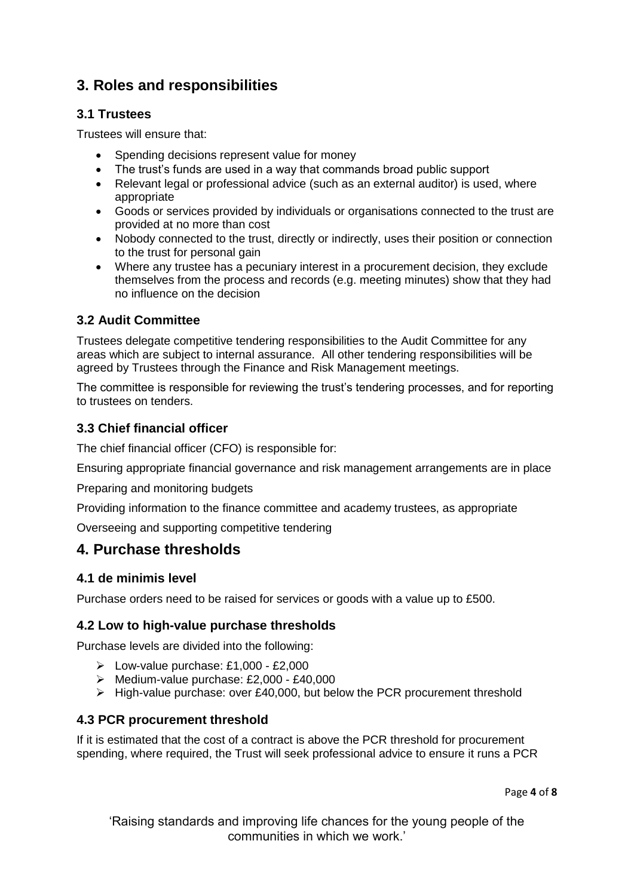# <span id="page-3-0"></span>**3. Roles and responsibilities**

### **3.1 Trustees**

Trustees will ensure that:

- Spending decisions represent value for money
- The trust's funds are used in a way that commands broad public support
- Relevant legal or professional advice (such as an external auditor) is used, where appropriate
- Goods or services provided by individuals or organisations connected to the trust are provided at no more than cost
- Nobody connected to the trust, directly or indirectly, uses their position or connection to the trust for personal gain
- Where any trustee has a pecuniary interest in a procurement decision, they exclude themselves from the process and records (e.g. meeting minutes) show that they had no influence on the decision

## **3.2 Audit Committee**

Trustees delegate competitive tendering responsibilities to the Audit Committee for any areas which are subject to internal assurance. All other tendering responsibilities will be agreed by Trustees through the Finance and Risk Management meetings.

The committee is responsible for reviewing the trust's tendering processes, and for reporting to trustees on tenders.

## **3.3 Chief financial officer**

The chief financial officer (CFO) is responsible for:

Ensuring appropriate financial governance and risk management arrangements are in place

Preparing and monitoring budgets

Providing information to the finance committee and academy trustees, as appropriate

Overseeing and supporting competitive tendering

# <span id="page-3-1"></span>**4. Purchase thresholds**

### **4.1 de minimis level**

Purchase orders need to be raised for services or goods with a value up to £500.

### **4.2 Low to high-value purchase thresholds**

Purchase levels are divided into the following:

- $\geq$  Low-value purchase: £1,000 £2,000
- $\blacktriangleright$  Medium-value purchase: £2,000 £40,000
- $\triangleright$  High-value purchase: over £40,000, but below the PCR procurement threshold

### **4.3 PCR procurement threshold**

If it is estimated that the cost of a contract is above the PCR threshold for procurement spending, where required, the Trust will seek professional advice to ensure it runs a PCR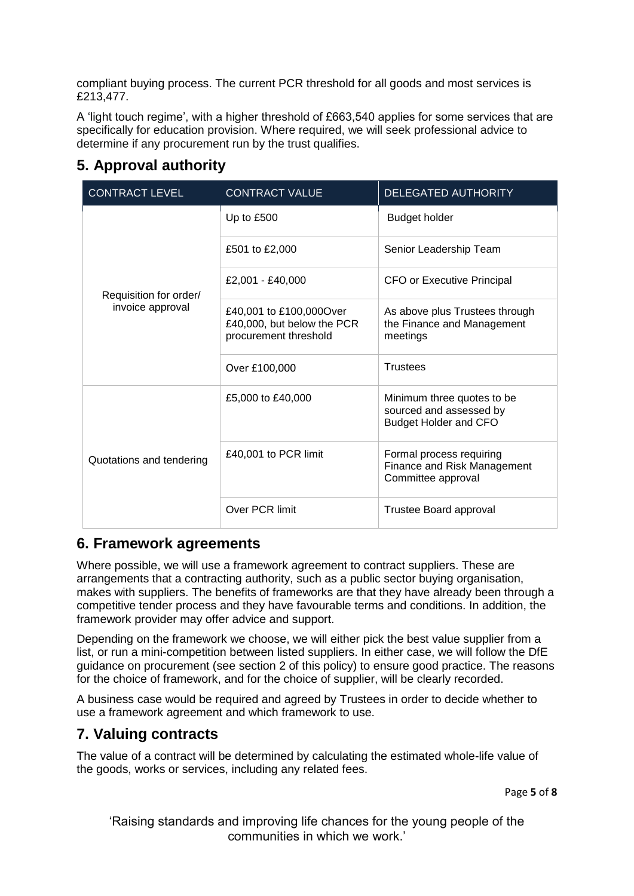compliant buying process. The current PCR threshold for all goods and most services is £213,477.

A 'light touch regime', with a higher threshold of £663,540 applies for some services that are specifically for education provision. Where required, we will seek professional advice to determine if any procurement run by the trust qualifies.

# <span id="page-4-0"></span>**5. Approval authority**

| <b>CONTRACT LEVEL</b>                      | <b>CONTRACT VALUE</b>                                                          | DELEGATED AUTHORITY                                                                   |
|--------------------------------------------|--------------------------------------------------------------------------------|---------------------------------------------------------------------------------------|
| Requisition for order/<br>invoice approval | Up to £500                                                                     | <b>Budget holder</b>                                                                  |
|                                            | £501 to £2,000                                                                 | Senior Leadership Team                                                                |
|                                            | £2,001 - £40,000                                                               | <b>CFO or Executive Principal</b>                                                     |
|                                            | £40,001 to £100,000Over<br>£40,000, but below the PCR<br>procurement threshold | As above plus Trustees through<br>the Finance and Management<br>meetings              |
|                                            | Over £100,000                                                                  | <b>Trustees</b>                                                                       |
| Quotations and tendering                   | £5,000 to £40,000                                                              | Minimum three quotes to be<br>sourced and assessed by<br><b>Budget Holder and CFO</b> |
|                                            | £40,001 to PCR limit                                                           | Formal process requiring<br>Finance and Risk Management<br>Committee approval         |
|                                            | Over PCR limit                                                                 | <b>Trustee Board approval</b>                                                         |

### <span id="page-4-1"></span>**6. Framework agreements**

Where possible, we will use a framework agreement to contract suppliers. These are arrangements that a contracting authority, such as a public sector buying organisation, makes with suppliers. The benefits of frameworks are that they have already been through a competitive tender process and they have favourable terms and conditions. In addition, the framework provider may offer advice and support.

Depending on the framework we choose, we will either pick the best value supplier from a list, or run a mini-competition between listed suppliers. In either case, we will follow the DfE guidance on procurement (see section 2 of this policy) to ensure good practice. The reasons for the choice of framework, and for the choice of supplier, will be clearly recorded.

<span id="page-4-2"></span>A business case would be required and agreed by Trustees in order to decide whether to use a framework agreement and which framework to use.

# **7. Valuing contracts**

The value of a contract will be determined by calculating the estimated whole-life value of the goods, works or services, including any related fees.

Page **5** of **8**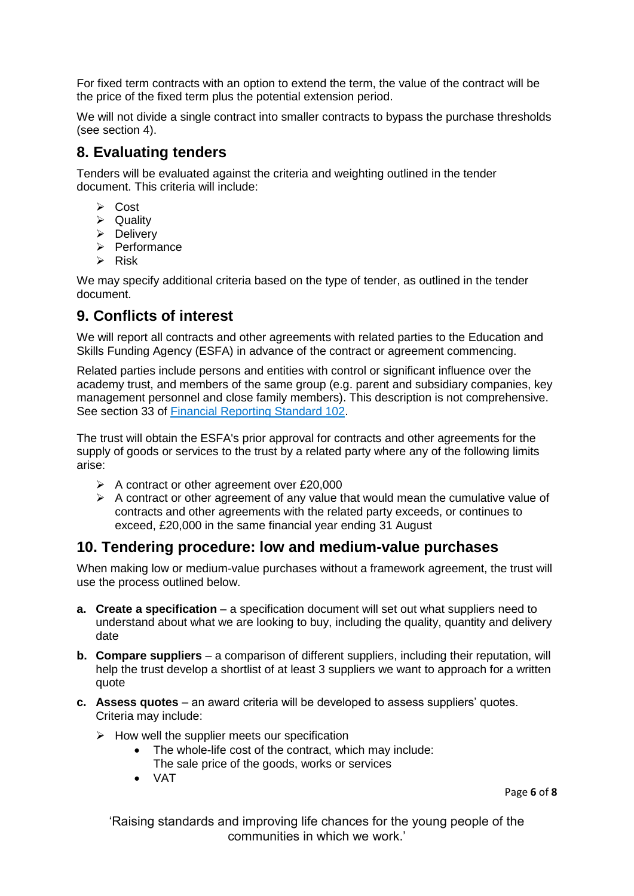For fixed term contracts with an option to extend the term, the value of the contract will be the price of the fixed term plus the potential extension period.

We will not divide a single contract into smaller contracts to bypass the purchase thresholds (see section 4).

# <span id="page-5-0"></span>**8. Evaluating tenders**

Tenders will be evaluated against the criteria and weighting outlined in the tender document. This criteria will include:

- $\triangleright$  Cost
- $\triangleright$  Quality
- $\triangleright$  Delivery
- $\triangleright$  Performance
- $\triangleright$  Risk

We may specify additional criteria based on the type of tender, as outlined in the tender document.

# <span id="page-5-1"></span>**9. Conflicts of interest**

We will report all contracts and other agreements with related parties to the Education and Skills Funding Agency (ESFA) in advance of the contract or agreement commencing.

Related parties include persons and entities with control or significant influence over the academy trust, and members of the same group (e.g. parent and subsidiary companies, key management personnel and close family members). This description is not comprehensive. See section 33 of [Financial Reporting Standard 102.](https://www.frc.org.uk/getattachment/e1d6b167-6cdb-4550-bde3-f94484226fbd/FRS-102-WEB-Ready-2015.pdf)

The trust will obtain the ESFA's prior approval for contracts and other agreements for the supply of goods or services to the trust by a related party where any of the following limits arise:

- $\triangleright$  A contract or other agreement over £20,000
- $\triangleright$  A contract or other agreement of any value that would mean the cumulative value of contracts and other agreements with the related party exceeds, or continues to exceed, £20,000 in the same financial year ending 31 August

## <span id="page-5-2"></span>**10. Tendering procedure: low and medium-value purchases**

When making low or medium-value purchases without a framework agreement, the trust will use the process outlined below.

- **a. Create a specification** a specification document will set out what suppliers need to understand about what we are looking to buy, including the quality, quantity and delivery date
- **b. Compare suppliers** a comparison of different suppliers, including their reputation, will help the trust develop a shortlist of at least 3 suppliers we want to approach for a written quote
- **c. Assess quotes** an award criteria will be developed to assess suppliers' quotes. Criteria may include:
	- $\triangleright$  How well the supplier meets our specification
		- The whole-life cost of the contract, which may include:
			- The sale price of the goods, works or services
		- $\bullet$  VAT

Page **6** of **8**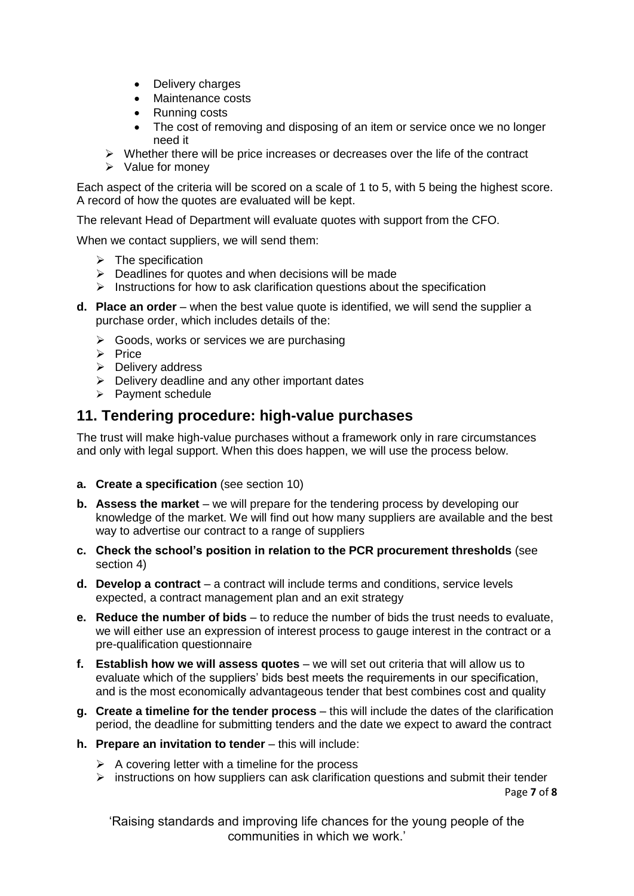- Delivery charges
- Maintenance costs
- Running costs
- The cost of removing and disposing of an item or service once we no longer need it
- $\triangleright$  Whether there will be price increases or decreases over the life of the contract
- $\triangleright$  Value for money

Each aspect of the criteria will be scored on a scale of 1 to 5, with 5 being the highest score. A record of how the quotes are evaluated will be kept.

The relevant Head of Department will evaluate quotes with support from the CFO.

When we contact suppliers, we will send them:

- $\triangleright$  The specification
- $\triangleright$  Deadlines for quotes and when decisions will be made
- $\triangleright$  Instructions for how to ask clarification questions about the specification
- **d. Place an order** when the best value quote is identified, we will send the supplier a purchase order, which includes details of the:
	- $\triangleright$  Goods, works or services we are purchasing
	- $\triangleright$  Price
	- $\triangleright$  Delivery address
	- $\triangleright$  Delivery deadline and any other important dates
	- $\triangleright$  Payment schedule

## <span id="page-6-0"></span>**11. Tendering procedure: high-value purchases**

The trust will make high-value purchases without a framework only in rare circumstances and only with legal support. When this does happen, we will use the process below.

- **a. Create a specification** (see section 10)
- **b. Assess the market** we will prepare for the tendering process by developing our knowledge of the market. We will find out how many suppliers are available and the best way to advertise our contract to a range of suppliers
- **c. Check the school's position in relation to the PCR procurement thresholds** (see section 4)
- **d. Develop a contract** a contract will include terms and conditions, service levels expected, a contract management plan and an exit strategy
- **e. Reduce the number of bids** to reduce the number of bids the trust needs to evaluate, we will either use an expression of interest process to gauge interest in the contract or a pre-qualification questionnaire
- **f. Establish how we will assess quotes** we will set out criteria that will allow us to evaluate which of the suppliers' bids best meets the requirements in our specification, and is the most economically advantageous tender that best combines cost and quality
- **g. Create a timeline for the tender process** this will include the dates of the clarification period, the deadline for submitting tenders and the date we expect to award the contract
- **h. Prepare an invitation to tender** this will include:
	- $\triangleright$  A covering letter with a timeline for the process
	- $\triangleright$  instructions on how suppliers can ask clarification questions and submit their tender

Page **7** of **8**